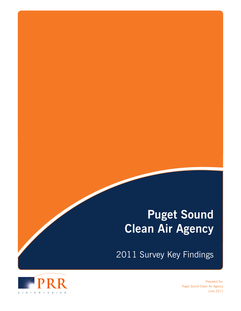## **Puget Sound Clean Air Agency**

2011 Survey Key Findings



Prepared for: Puget Sound Clean Air Agency June 2011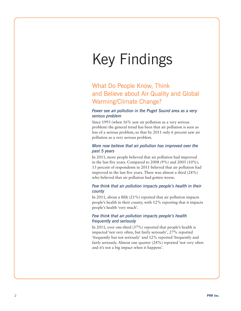# Key Findings

## What Do People Know, Think and Believe about Air Quality and Global Warming/Climate Change?

#### *Fewer see air pollution in the Puget Sound area as a very serious problem*

Since 1993 (when 16% saw air pollution as a very serious problem) the general trend has been that air pollution is seen as less of a serious problem, so that by 2011 only 6 percent saw air pollution as a very serious problem.

#### *More now believe that air pollution has improved over the past 5 years*

In 2011, more people believed that air pollution had improved in the last five years. Compared to 2008 (9%) and 2005 (10%), 13 percent of respondents in 2011 believed that air pollution had improved in the last five years. There was almost a third (28%) who believed that air pollution had gotten worse.

#### *Few think that air pollution impacts people's health in their county*

In 2011, about a fifth (21%) reported that air pollution impacts people's health in their county, with 12% reporting that it impacts people's health 'very much'.

#### *Few think that air pollution impacts people's health frequently and seriously*

In 2011, over one-third (37%) reported that people's health is impacted 'not very often, but fairly seriously', 27% reported 'frequently but not seriously' and 12% reported 'frequently and fairly seriously. Almost one quarter (24%) reported 'not very often and it's not a big impact when it happens'.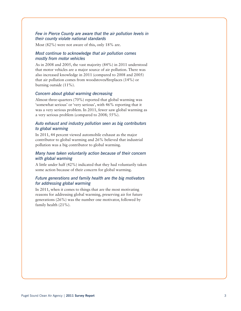#### *Few in Pierce County are aware that the air pollution levels in their county violate national standards*

Most (82%) were not aware of this, only 18% are.

#### *Most continue to acknowledge that air pollution comes mostly from motor vehicles*

As in 2008 and 2005, the vast majority (84%) in 2011 understood that motor vehicles are a major source of air pollution. There was also increased knowledge in 2011 (compared to 2008 and 2005) that air pollution comes from woodstoves/fireplaces (14%) or burning outside (11%).

#### *Concern about global warming decreasing*

Almost three-quarters (70%) reported that global warming was 'somewhat serious' or 'very serious', with 46% reporting that it was a very serious problem. In 2011, fewer saw global warming as a very serious problem (compared to 2008; 55%).

#### *Auto exhaust and industry pollution seen as big contributors to global warming*

In 2011, 44 percent viewed automobile exhaust as the major contributor to global warming and 26% believed that industrial pollution was a big contributor to global warming.

#### *Many have taken voluntarily action because of their concern with global warming*

A little under half (42%) indicated that they had voluntarily taken some action because of their concern for global warming.

#### *Future generations and family health are the big motivators for addressing global warming*

In 2011, when it comes to things that are the most motivating reasons for addressing global warming, preserving air for future generations (26%) was the number one motivator, followed by family health (21%).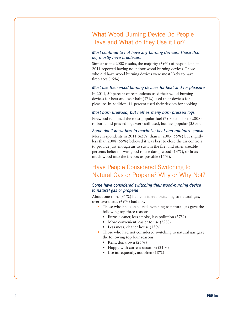## What Wood-Burning Device Do People Have and What do they Use it For?

#### *Most continue to not have any burning devices. Those that do, mostly have fireplaces.*

Similar to the 2008 results, the majority (69%) of respondents in 2011 reported having no indoor wood burning devices. Those who did have wood burning devices were most likely to have fireplaces (15%).

#### *Most use their wood burning devices for heat and for pleasure*

In 2011, 50 percent of respondents used their wood burning devices for heat and over half (57%) used their devices for pleasure. In addition, 11 percent used their devices for cooking.

#### *Most burn firewood, but half as many burn pressed logs*

Firewood remained the most popular fuel (79%; similar to 2008) to burn, and pressed logs were still used, but less popular (33%).

*Some don't know how to maximize heat and minimize smoke* More respondents in 2011 (62%) than in 2005 (55%) but slightly less than 2008 (65%) believed it was best to close the air controls to provide just enough air to sustain the fire, and other sizeable percents believe it was good to use damp wood (13%), or fit as much wood into the firebox as possible (15%).

## Have People Considered Switching to Natural Gas or Propane? Why or Why Not?

#### *Some have considered switching their wood-burning device to natural gas or propane*

About one-third (31%) had considered switching to natural gas, over two-thirds (69%) had not.

- Those who had considered switching to natural gas gave the following top three reasons:
	- Burns cleaner, less smoke, less pollution (37%)
	- More convenient, easier to use (29%)
	- Less mess, cleaner house (13%)
- Those who had not considered switching to natural gas gave the following top four reasons:
	- Rent, don't own  $(25%)$
	- Happy with current situation  $(21\%)$
	- Use infrequently, not often  $(18\%)$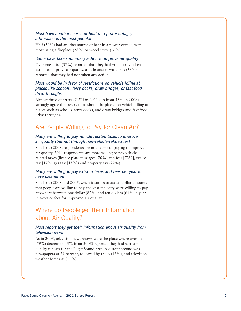#### *Most have another source of heat in a power outage, a fireplace is the most popular*

Half (50%) had another source of heat in a power outage, with most using a fireplace (28%) or wood stove (16%).

#### *Some have taken voluntary action to improve air quality*

Over one-third (37%) reported that they had voluntarily taken action to improve air quality, a little under two thirds (63%) reported that they had not taken any action.

#### *Most would be in favor of restrictions on vehicle idling at places like schools, ferry docks, draw bridges, or fast food drive-throughs*

Almost three-quarters (72%) in 2011 (up from 45% in 2008) strongly agree that restrictions should be placed on vehicle idling at places such as schools, ferry docks, and draw bridges and fast food drive-throughs.

### Are People Willing to Pay for Clean Air?

#### *Many are willing to pay vehicle related taxes to improve air quality (but not through non-vehicle-related tax)*

Similar to 2008, respondents are not averse to paying to improve air quality. 2011 respondents are more willing to pay vehicle related taxes (license plate messages [76%], tab fees [72%], excise tax  $[47\%]$  gas tax  $[43\%]$  and property tax  $(22\%)$ .

#### *Many are willing to pay extra in taxes and fees per year to have cleaner air*

Similar to 2008 and 2005, when it comes to actual dollar amounts that people are willing to pay, the vast majority were willing to pay anywhere between one dollar (87%) and ten dollars (64%) a year in taxes or fees for improved air quality.

## Where do People get their Information about Air Quality?

#### *Most report they get their information about air quality from television news*

As in 2008, television news shows were the place where over half (59%; decrease of 3% from 2008) reported they had seen air quality reports for the Puget Sound area. A distant second was newspapers at 39 percent, followed by radio (13%), and television weather forecasts (11%).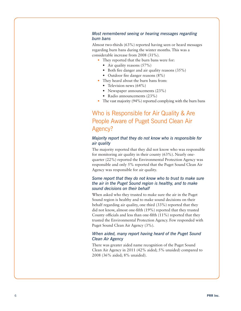#### *Most remembered seeing or hearing messages regarding burn bans*

Almost two-thirds (63%) reported having seen or heard messages regarding burn bans during the winter months. This was a considerable increase from 2008 (31%).

- They reported that the burn bans were for:
	- Air quality reasons  $(57%)$
	- Both fire danger and air quality reasons  $(35\%)$
	- Outdoor fire danger reasons (8%)
- They heard about the burn bans from:
	- Television news  $(64\%)$
	- Newspaper announcements (23%)
	- Radio announcements (23%)
- The vast majority (94%) reported complying with the burn bans

## Who is Responsible for Air Quality & Are People Aware of Puget Sound Clean Air Agency?

#### *Majority report that they do not know who is responsible for air quality*

The majority reported that they did not know who was responsible for monitoring air quality in their county (63%). Nearly onequarter (22%) reported the Environmental Protection Agency was responsible and only 5% reported that the Puget Sound Clean Air Agency was responsible for air quality.

#### *Some report that they do not know who to trust to make sure the air in the Puget Sound region is healthy, and to make sound decisions on their behalf*

When asked who they trusted to make sure the air in the Puget Sound region is healthy and to make sound decisions on their behalf regarding air quality, one third (33%) reported that they did not know, almost one-fifth (19%) reported that they trusted County officials and less than one-fifth (11%) reported that they trusted the Environmental Protection Agency. Few responded with Puget Sound Clean Air Agency (3%).

#### *When aided, many report having heard of the Puget Sound Clean Air Agency*

There was greater aided name recognition of the Puget Sound Clean Air Agency in 2011 (42% aided; 5% unaided) compared to 2008 (36% aided; 8% unaided).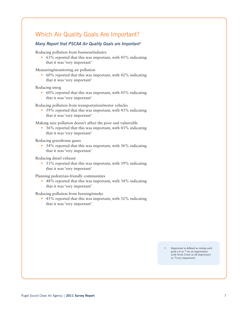## Which Air Quality Goals Are Important?

#### *Many Report that PSCAA Air Quality Goals are Important1*

Reducing pollution from business/industry

 $63\%$  reported that this was important, with  $45\%$  indicating that it was 'very important'

Measuring/monitoring air pollution

• 60% reported that this was important, with  $42\%$  indicating that it was 'very important'

Reducing smog

• 60% reported that this was important, with  $45\%$  indicating that it was 'very important'

Reducing pollution from transportation/motor vehicles

• 59% reported that this was important, with 43% indicating that it was 'very important'

Making sure pollution doesn't affect the poor and vulnerable

•  $56\%$  reported that this was important, with 43% indicating that it was 'very important'

Reducing greenhouse gases

• 54% reported that this was important, with 36% indicating that it was 'very important'

Reducing diesel exhaust

• 53% reported that this was important, with 39% indicating that it was 'very important'

Planning pedestrian-friendly communities

• 48% reported that this was important, with 34% indicating that it was 'very important'

Reducing pollution from burning/smoke

• 45% reported that this was important, with  $32\%$  indicating that it was 'very important'

> 1 Important is defined as rating each goal a 6 or 7 on an importance scale from 1(not at all important) to 7(very important)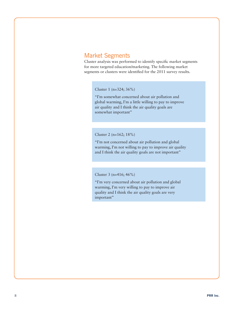## Market Segments

Cluster analysis was performed to identify specific market segments for more targeted education/marketing. The following market segments or clusters were identified for the 2011 survey results.

Cluster 1 (n=324; 36%)

"I'm somewhat concerned about air pollution and global warming, I'm a little willing to pay to improve air quality and I think the air quality goals are somewhat important"

Cluster 2 (n=162; 18%)

"I'm not concerned about air pollution and global warming, I'm not willing to pay to improve air quality and I think the air quality goals are not important"

Cluster 3 (n=416; 46%)

"I'm very concerned about air pollution and global warming, I'm very willing to pay to improve air quality and I think the air quality goals are very important"